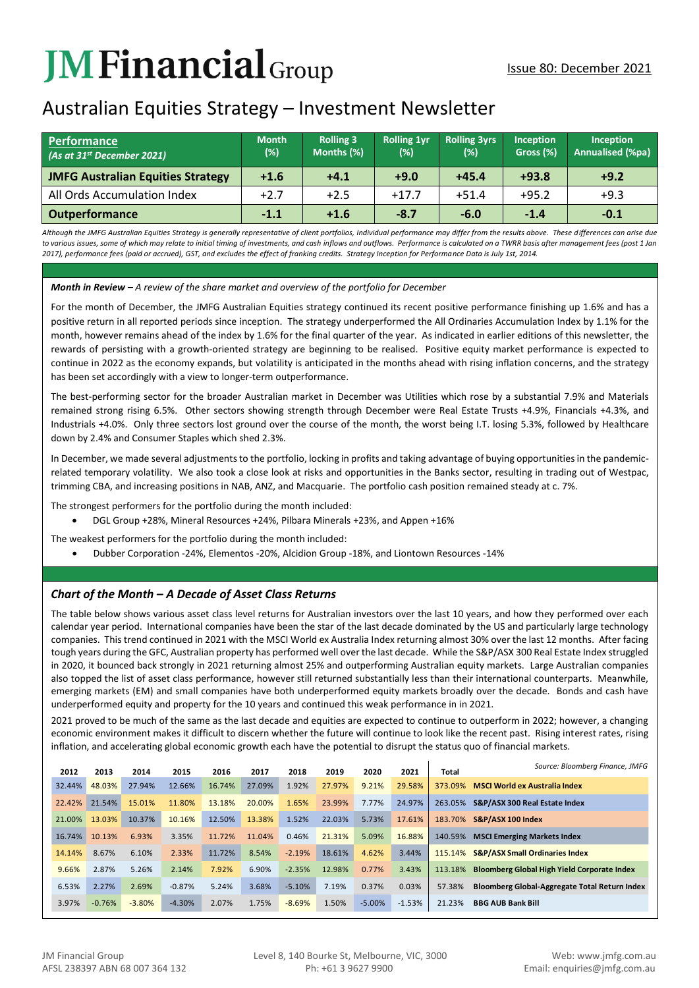# **JMFinancial**Group

## Australian Equities Strategy – Investment Newsletter

| <b>Performance</b><br>(As at 31 <sup>st</sup> December 2021) | <b>Month</b><br>$(\%)$ | <b>Rolling 3</b><br>Months (%) | <b>Rolling 1yr</b><br>(%) | <b>Rolling 3yrs</b><br>(%) | <b>Inception</b><br>Gross (%) | <b>Inception</b><br><b>Annualised (%pa)</b> |
|--------------------------------------------------------------|------------------------|--------------------------------|---------------------------|----------------------------|-------------------------------|---------------------------------------------|
| <b>JMFG Australian Equities Strategy</b>                     | $+1.6$                 | $+4.1$                         | $+9.0$                    | $+45.4$                    | $+93.8$                       | $+9.2$                                      |
| All Ords Accumulation Index                                  | $+2.7$                 | $+2.5$                         | $+17.7$                   | $+51.4$                    | $+95.2$                       | $+9.3$                                      |
| <b>Outperformance</b>                                        | $-1.1$                 | $+1.6$                         | $-8.7$                    | $-6.0$                     | $-1.4$                        | $-0.1$                                      |

*Although the JMFG Australian Equities Strategy is generally representative of client portfolios, Individual performance may differ from the results above. These differences can arise due to various issues, some of which may relate to initial timing of investments, and cash inflows and outflows. Performance is calculated on a TWRR basis after management fees (post 1 Jan 2017), performance fees (paid or accrued), GST, and excludes the effect of franking credits. Strategy Inception for Performance Data is July 1st, 2014.*

## *Month in Review – A review of the share market and overview of the portfolio for December*

For the month of December, the JMFG Australian Equities strategy continued its recent positive performance finishing up 1.6% and has a positive return in all reported periods since inception. The strategy underperformed the All Ordinaries Accumulation Index by 1.1% for the month, however remains ahead of the index by 1.6% for the final quarter of the year. As indicated in earlier editions of this newsletter, the rewards of persisting with a growth-oriented strategy are beginning to be realised. Positive equity market performance is expected to continue in 2022 as the economy expands, but volatility is anticipated in the months ahead with rising inflation concerns, and the strategy has been set accordingly with a view to longer-term outperformance.

The best-performing sector for the broader Australian market in December was Utilities which rose by a substantial 7.9% and Materials remained strong rising 6.5%. Other sectors showing strength through December were Real Estate Trusts +4.9%, Financials +4.3%, and Industrials +4.0%. Only three sectors lost ground over the course of the month, the worst being I.T. losing 5.3%, followed by Healthcare down by 2.4% and Consumer Staples which shed 2.3%.

In December, we made several adjustments to the portfolio, locking in profits and taking advantage of buying opportunities in the pandemicrelated temporary volatility. We also took a close look at risks and opportunities in the Banks sector, resulting in trading out of Westpac, trimming CBA, and increasing positions in NAB, ANZ, and Macquarie. The portfolio cash position remained steady at c. 7%.

The strongest performers for the portfolio during the month included:

• DGL Group +28%, Mineral Resources +24%, Pilbara Minerals +23%, and Appen +16%

The weakest performers for the portfolio during the month included:

• Dubber Corporation -24%, Elementos -20%, Alcidion Group -18%, and Liontown Resources -14%

## *Chart of the Month – A Decade of Asset Class Returns*

The table below shows various asset class level returns for Australian investors over the last 10 years, and how they performed over each calendar year period. International companies have been the star of the last decade dominated by the US and particularly large technology companies. This trend continued in 2021 with the MSCI World ex Australia Index returning almost 30% over the last 12 months. After facing tough years during the GFC, Australian property has performed well over the last decade. While the S&P/ASX 300 Real Estate Index struggled in 2020, it bounced back strongly in 2021 returning almost 25% and outperforming Australian equity markets. Large Australian companies also topped the list of asset class performance, however still returned substantially less than their international counterparts. Meanwhile, emerging markets (EM) and small companies have both underperformed equity markets broadly over the decade. Bonds and cash have underperformed equity and property for the 10 years and continued this weak performance in in 2021.

2021 proved to be much of the same as the last decade and equities are expected to continue to outperform in 2022; however, a changing economic environment makes it difficult to discern whether the future will continue to look like the recent past. Rising interest rates, rising inflation, and accelerating global economic growth each have the potential to disrupt the status quo of financial markets.

| 2012   | 2013     | 2014     | 2015     | 2016   | 2017   | 2018     | 2019   | 2020     | 2021     | Total   | Source: Bloomberg Finance, JMFG                    |
|--------|----------|----------|----------|--------|--------|----------|--------|----------|----------|---------|----------------------------------------------------|
| 32.44% | 48.03%   | 27.94%   | 12.66%   | 16.74% | 27.09% | 1.92%    | 27.97% | 9.21%    | 29.58%   | 373.09% | <b>MSCI World ex Australia Index</b>               |
| 22.42% | 21.54%   | 15.01%   | 11.80%   | 13.18% | 20.00% | 1.65%    | 23.99% | 7.77%    | 24.97%   | 263.05% | S&P/ASX 300 Real Estate Index                      |
| 21.00% | 13.03%   | 10.37%   | 10.16%   | 12.50% | 13.38% | 1.52%    | 22.03% | 5.73%    | 17.61%   | 183.70% | S&P/ASX 100 Index                                  |
| 16.74% | 10.13%   | 6.93%    | 3.35%    | 11.72% | 11.04% | 0.46%    | 21.31% | 5.09%    | 16.88%   | 140.59% | <b>MSCI Emerging Markets Index</b>                 |
| 14.14% | 8.67%    | 6.10%    | 2.33%    | 11.72% | 8.54%  | $-2.19%$ | 18.61% | 4.62%    | 3.44%    | 115.14% | <b>S&amp;P/ASX Small Ordinaries Index</b>          |
| 9.66%  | 2.87%    | 5.26%    | 2.14%    | 7.92%  | 6.90%  | $-2.35%$ | 12.98% | 0.77%    | 3.43%    | 113.18% | <b>Bloomberg Global High Yield Corporate Index</b> |
| 6.53%  | 2.27%    | 2.69%    | $-0.87%$ | 5.24%  | 3.68%  | $-5.10%$ | 7.19%  | 0.37%    | 0.03%    | 57.38%  | Bloomberg Global-Aggregate Total Return Index      |
| 3.97%  | $-0.76%$ | $-3.80%$ | $-4.30%$ | 2.07%  | 1.75%  | $-8.69%$ | 1.50%  | $-5.00%$ | $-1.53%$ | 21.23%  | <b>BBG AUB Bank Bill</b>                           |